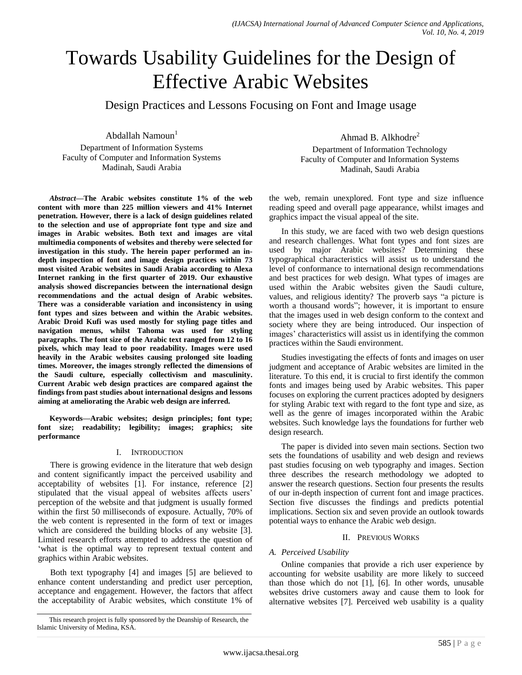# Towards Usability Guidelines for the Design of Effective Arabic Websites

Design Practices and Lessons Focusing on Font and Image usage

Abdallah Namoun $1$ 

Department of Information Systems Faculty of Computer and Information Systems Madinah, Saudi Arabia

*Abstract***—The Arabic websites constitute 1% of the web content with more than 225 million viewers and 41% Internet penetration. However, there is a lack of design guidelines related to the selection and use of appropriate font type and size and images in Arabic websites. Both text and images are vital multimedia components of websites and thereby were selected for investigation in this study. The herein paper performed an indepth inspection of font and image design practices within 73 most visited Arabic websites in Saudi Arabia according to Alexa Internet ranking in the first quarter of 2019. Our exhaustive analysis showed discrepancies between the international design recommendations and the actual design of Arabic websites. There was a considerable variation and inconsistency in using font types and sizes between and within the Arabic websites. Arabic Droid Kufi was used mostly for styling page titles and navigation menus, whilst Tahoma was used for styling paragraphs. The font size of the Arabic text ranged from 12 to 16 pixels, which may lead to poor readability. Images were used heavily in the Arabic websites causing prolonged site loading times. Moreover, the images strongly reflected the dimensions of the Saudi culture, especially collectivism and masculinity. Current Arabic web design practices are compared against the findings from past studies about international designs and lessons aiming at ameliorating the Arabic web design are inferred.**

**Keywords—Arabic websites; design principles; font type; font size; readability; legibility; images; graphics; site performance**

# I. INTRODUCTION

There is growing evidence in the literature that web design and content significantly impact the perceived usability and acceptability of websites [\[1\].](#page-8-0) For instance, reference [\[2\]](#page-8-1) stipulated that the visual appeal of websites affects users" perception of the website and that judgment is usually formed within the first 50 milliseconds of exposure. Actually, 70% of the web content is represented in the form of text or images which are considered the building blocks of any website [\[3\].](#page-8-2) Limited research efforts attempted to address the question of 'what is the optimal way to represent textual content and graphics within Arabic websites.

Both text typography [\[4\]](#page-8-3) and images [\[5\]](#page-8-4) are believed to enhance content understanding and predict user perception, acceptance and engagement. However, the factors that affect the acceptability of Arabic websites, which constitute 1% of Ahmad B. Alkhodre<sup>2</sup>

Department of Information Technology Faculty of Computer and Information Systems Madinah, Saudi Arabia

the web, remain unexplored. Font type and size influence reading speed and overall page appearance, whilst images and graphics impact the visual appeal of the site.

In this study, we are faced with two web design questions and research challenges. What font types and font sizes are used by major Arabic websites? Determining these typographical characteristics will assist us to understand the level of conformance to international design recommendations and best practices for web design. What types of images are used within the Arabic websites given the Saudi culture, values, and religious identity? The proverb says "a picture is worth a thousand words"; however, it is important to ensure that the images used in web design conform to the context and society where they are being introduced. Our inspection of images' characteristics will assist us in identifying the common practices within the Saudi environment.

Studies investigating the effects of fonts and images on user judgment and acceptance of Arabic websites are limited in the literature. To this end, it is crucial to first identify the common fonts and images being used by Arabic websites. This paper focuses on exploring the current practices adopted by designers for styling Arabic text with regard to the font type and size, as well as the genre of images incorporated within the Arabic websites. Such knowledge lays the foundations for further web design research.

The paper is divided into seven main sections. Section two sets the foundations of usability and web design and reviews past studies focusing on web typography and images. Section three describes the research methodology we adopted to answer the research questions. Section four presents the results of our in-depth inspection of current font and image practices. Section five discusses the findings and predicts potential implications. Section six and seven provide an outlook towards potential ways to enhance the Arabic web design.

# II. PREVIOUS WORKS

# *A. Perceived Usability*

Online companies that provide a rich user experience by accounting for website usability are more likely to succeed than those which do not [\[1\],](#page-8-0) [\[6\].](#page-8-5) In other words, unusable websites drive customers away and cause them to look for alternative websites [\[7\].](#page-8-6) Perceived web usability is a quality

This research project is fully sponsored by the Deanship of Research, the Islamic University of Medina, KSA.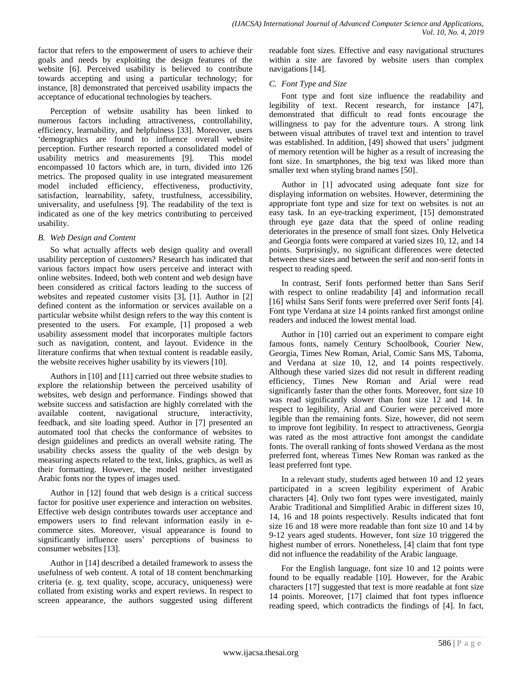factor that refers to the empowerment of users to achieve their goals and needs by exploiting the design features of the website [\[6\].](#page-8-5) Perceived usability is believed to contribute towards accepting and using a particular technology; for instance, [\[8\]](#page-8-7) demonstrated that perceived usability impacts the acceptance of educational technologies by teachers.

Perception of website usability has been linked to numerous factors including attractiveness, controllability, efficiency, learnability, and helpfulness [\[33\].](#page-9-0) Moreover, users "demographics are found to influence overall website perception. Further research reported a consolidated model of usability metrics and measurements [\[9\].](#page-8-8) This model encompassed 10 factors which are, in turn, divided into 126 metrics. The proposed quality in use integrated measurement model included efficiency, effectiveness, productivity, satisfaction, learnability, safety, trustfulness, accessibility, universality, and usefulness [\[9\].](#page-8-8) The readability of the text is indicated as one of the key metrics contributing to perceived usability.

# *B. Web Design and Content*

So what actually affects web design quality and overall usability perception of customers? Research has indicated that various factors impact how users perceive and interact with online websites. Indeed, both web content and web design have been considered as critical factors leading to the success of websites and repeated customer visits [\[3\],](#page-8-2) [\[1\].](#page-8-0) Author in [\[2\]](#page-8-1) defined content as the information or services available on a particular website whilst design refers to the way this content is presented to the users. For example, [\[1\]](#page-8-0) proposed a web usability assessment model that incorporates multiple factors such as navigation, content, and layout. Evidence in the literature confirms that when textual content is readable easily, the website receives higher usability by its viewers [\[10\].](#page-8-9)

Authors i[n \[10\]](#page-8-9) and [\[11\]](#page-8-10) carried out three website studies to explore the relationship between the perceived usability of websites, web design and performance. Findings showed that website success and satisfaction are highly correlated with the available content, navigational structure, interactivity, feedback, and site loading speed. Author in [\[7\]](#page-8-6) presented an automated tool that checks the conformance of websites to design guidelines and predicts an overall website rating. The usability checks assess the quality of the web design by measuring aspects related to the text, links, graphics, as well as their formatting. However, the model neither investigated Arabic fonts nor the types of images used.

Author in [\[12\]](#page-8-11) found that web design is a critical success factor for positive user experience and interaction on websites. Effective web design contributes towards user acceptance and empowers users to find relevant information easily in ecommerce sites. Moreover, visual appearance is found to significantly influence users' perceptions of business to consumer websites [\[13\].](#page-8-12)

Author in [\[14\]](#page-8-13) described a detailed framework to assess the usefulness of web content. A total of 18 content benchmarking criteria (e. g. text quality, scope, accuracy, uniqueness) were collated from existing works and expert reviews. In respect to screen appearance, the authors suggested using different readable font sizes. Effective and easy navigational structures within a site are favored by website users than complex navigations [\[14\].](#page-8-13)

# *C. Font Type and Size*

Font type and font size influence the readability and legibility of text. Recent research, for instance [\[47\],](#page-9-1) demonstrated that difficult to read fonts encourage the willingness to pay for the adventure tours. A strong link between visual attributes of travel text and intention to travel was established. In addition, [\[49\]](#page-9-2) showed that users' judgment of memory retention will be higher as a result of increasing the font size. In smartphones, the big text was liked more than smaller text when styling brand names [\[50\].](#page-9-3)

Author in [\[1\]](#page-8-0) advocated using adequate font size for displaying information on websites. However, determining the appropriate font type and size for text on websites is not an easy task. In an eye-tracking experiment, [\[15\]](#page-8-14) demonstrated through eye gaze data that the speed of online reading deteriorates in the presence of small font sizes. Only Helvetica and Georgia fonts were compared at varied sizes 10, 12, and 14 points. Surprisingly, no significant differences were detected between these sizes and between the serif and non-serif fonts in respect to reading speed.

In contrast, Serif fonts performed better than Sans Serif with respect to online readability [\[4\]](#page-8-3) and information recall [\[16\]](#page-8-15) whilst Sans Serif fonts were preferred over Serif fonts [\[4\].](#page-8-3) Font type Verdana at size 14 points ranked first amongst online readers and induced the lowest mental load.

Author in [\[10\]](#page-8-9) carried out an experiment to compare eight famous fonts, namely Century Schoolbook, Courier New, Georgia, Times New Roman, Arial, Comic Sans MS, Tahoma, and Verdana at size 10, 12, and 14 points respectively. Although these varied sizes did not result in different reading efficiency, Times New Roman and Arial were read significantly faster than the other fonts. Moreover, font size 10 was read significantly slower than font size 12 and 14. In respect to legibility, Arial and Courier were perceived more legible than the remaining fonts. Size, however, did not seem to improve font legibility. In respect to attractiveness, Georgia was rated as the most attractive font amongst the candidate fonts. The overall ranking of fonts showed Verdana as the most preferred font, whereas Times New Roman was ranked as the least preferred font type.

In a relevant study, students aged between 10 and 12 years participated in a screen legibility experiment of Arabic characters [\[4\].](#page-8-3) Only two font types were investigated, mainly Arabic Traditional and Simplified Arabic in different sizes 10, 14, 16 and 18 points respectively. Results indicated that font size 16 and 18 were more readable than font size 10 and 14 by 9-12 years aged students. However, font size 10 triggered the highest number of errors. Nonetheless, [\[4\]](#page-8-3) claim that font type did not influence the readability of the Arabic language.

For the English language, font size 10 and 12 points were found to be equally readable [\[10\].](#page-8-9) However, for the Arabic characters [\[17\]](#page-8-16) suggested that text is more readable at font size 14 points. Moreover, [\[17\]](#page-8-16) claimed that font types influence reading speed, which contradicts the findings of [\[4\].](#page-8-3) In fact,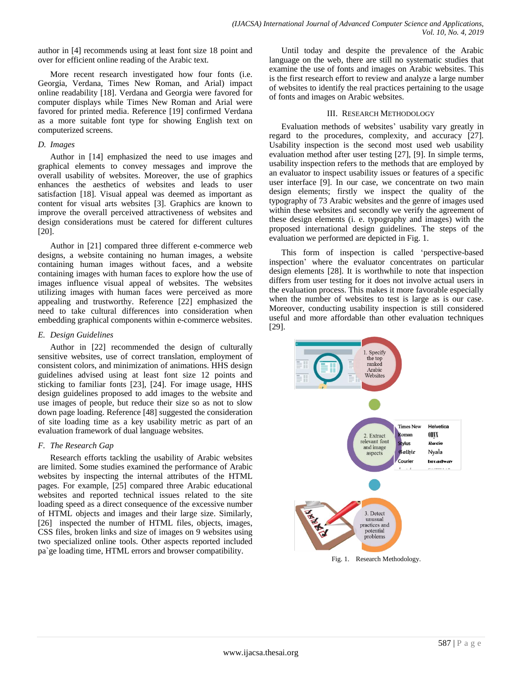author in [\[4\]](#page-8-3) recommends using at least font size 18 point and over for efficient online reading of the Arabic text.

More recent research investigated how four fonts (i.e. Georgia, Verdana, Times New Roman, and Arial) impact online readability [\[18\].](#page-8-17) Verdana and Georgia were favored for computer displays while Times New Roman and Arial were favored for printed media. Reference [\[19\]](#page-9-4) confirmed Verdana as a more suitable font type for showing English text on computerized screens.

#### *D. Images*

Author in [\[14\]](#page-8-13) emphasized the need to use images and graphical elements to convey messages and improve the overall usability of websites. Moreover, the use of graphics enhances the aesthetics of websites and leads to user satisfaction [\[18\].](#page-8-17) Visual appeal was deemed as important as content for visual arts websites [\[3\].](#page-8-2) Graphics are known to improve the overall perceived attractiveness of websites and design considerations must be catered for different cultures [\[20\].](#page-9-5)

Author in [\[21\]](#page-9-6) compared three different e-commerce web designs, a website containing no human images, a website containing human images without faces, and a website containing images with human faces to explore how the use of images influence visual appeal of websites. The websites utilizing images with human faces were perceived as more appealing and trustworthy. Reference [\[22\]](#page-9-7) emphasized the need to take cultural differences into consideration when embedding graphical components within e-commerce websites.

## *E. Design Guidelines*

Author in [\[22\]](#page-9-7) recommended the design of culturally sensitive websites, use of correct translation, employment of consistent colors, and minimization of animations. HHS design guidelines advised using at least font size 12 points and sticking to familiar fonts [\[23\],](#page-9-8) [\[24\].](#page-9-9) For image usage, HHS design guidelines proposed to add images to the website and use images of people, but reduce their size so as not to slow down page loading. Referenc[e \[48\]](#page-9-10) suggested the consideration of site loading time as a key usability metric as part of an evaluation framework of dual language websites.

# *F. The Research Gap*

Research efforts tackling the usability of Arabic websites are limited. Some studies examined the performance of Arabic websites by inspecting the internal attributes of the HTML pages. For example, [\[25\]](#page-9-11) compared three Arabic educational websites and reported technical issues related to the site loading speed as a direct consequence of the excessive number of HTML objects and images and their large size. Similarly, [\[26\]](#page-9-12) inspected the number of HTML files, objects, images, CSS files, broken links and size of images on 9 websites using two specialized online tools. Other aspects reported included pa`ge loading time, HTML errors and browser compatibility.

Until today and despite the prevalence of the Arabic language on the web, there are still no systematic studies that examine the use of fonts and images on Arabic websites. This is the first research effort to review and analyze a large number of websites to identify the real practices pertaining to the usage of fonts and images on Arabic websites.

### III. RESEARCH METHODOLOGY

Evaluation methods of websites' usability vary greatly in regard to the procedures, complexity, and accuracy [\[27\].](#page-9-13) Usability inspection is the second most used web usability evaluation method after user testing [\[27\],](#page-9-13) [\[9\].](#page-8-8) In simple terms, usability inspection refers to the methods that are employed by an evaluator to inspect usability issues or features of a specific user interface [\[9\].](#page-8-8) In our case, we concentrate on two main design elements; firstly we inspect the quality of the typography of 73 Arabic websites and the genre of images used within these websites and secondly we verify the agreement of these design elements (i. e. typography and images) with the proposed international design guidelines. The steps of the evaluation we performed are depicted in Fig. 1.

This form of inspection is called "perspective-based inspection" where the evaluator concentrates on particular design elements [\[28\].](#page-9-14) It is worthwhile to note that inspection differs from user testing for it does not involve actual users in the evaluation process. This makes it more favorable especially when the number of websites to test is large as is our case. Moreover, conducting usability inspection is still considered useful and more affordable than other evaluation techniques [\[29\].](#page-9-15)

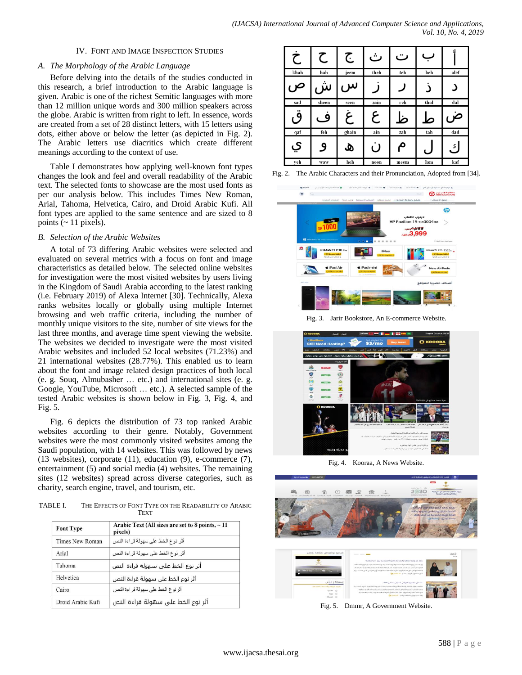## IV. FONT AND IMAGE INSPECTION STUDIES

## *A. The Morphology of the Arabic Language*

Before delving into the details of the studies conducted in this research, a brief introduction to the Arabic language is given. Arabic is one of the richest Semitic languages with more than 12 million unique words and 300 million speakers across the globe. Arabic is written from right to left. In essence, words are created from a set of 28 distinct letters, with 15 letters using dots, either above or below the letter (as depicted in Fig. 2). The Arabic letters use diacritics which create different meanings according to the context of use.

Table I demonstrates how applying well-known font types changes the look and feel and overall readability of the Arabic text. The selected fonts to showcase are the most used fonts as per our analysis below. This includes Times New Roman, Arial, Tahoma, Helvetica, Cairo, and Droid Arabic Kufi. All font types are applied to the same sentence and are sized to 8 points  $(-11$  pixels).

## *B. Selection of the Arabic Websites*

A total of 73 differing Arabic websites were selected and evaluated on several metrics with a focus on font and image characteristics as detailed below. The selected online websites for investigation were the most visited websites by users living in the Kingdom of Saudi Arabia according to the latest ranking (i.e. February 2019) of Alexa Internet [\[30\].](#page-9-16) Technically, Alexa ranks websites locally or globally using multiple Internet browsing and web traffic criteria, including the number of monthly unique visitors to the site, number of site views for the last three months, and average time spent viewing the website. The websites we decided to investigate were the most visited Arabic websites and included 52 local websites (71.23%) and 21 international websites (28.77%). This enabled us to learn about the font and image related design practices of both local (e. g. Souq, Almubasher … etc.) and international sites (e. g. Google, YouTube, Microsoft … etc.). A selected sample of the tested Arabic websites is shown below in Fig. 3, Fig. 4, and Fig. 5.

Fig. 6 depicts the distribution of 73 top ranked Arabic websites according to their genre. Notably, Government websites were the most commonly visited websites among the Saudi population, with 14 websites. This was followed by news (13 websites), corporate (11), education (9), e-commerce (7), entertainment (5) and social media (4) websites. The remaining sites (12 websites) spread across diverse categories, such as charity, search engine, travel, and tourism, etc.

TABLE I. THE EFFECTS OF FONT TYPE ON THE READABILITY OF ARABIC **TEXT** 

| <b>Font Type</b>  | Arabic Text (All sizes are set to 8 points, $\sim$ 11<br>pixels) |  |  |
|-------------------|------------------------------------------------------------------|--|--|
| Times New Roman   | أثر نوع الخط على سهولة قراءة النص                                |  |  |
| Arial             | أثر نوع الخط على سهولة قراءة النص                                |  |  |
| Tahoma            | أثر نوع الخط على سـهولة قراءة النص                               |  |  |
| Helvetica         | أثر نوع الخط على سهولة قراءة النص                                |  |  |
| Cairo             | أثر نوع الخط على سهو لة قر اءة النص                              |  |  |
| Droid Arabic Kufi | أثر نوع الخط على سهولة قراءة النص                                |  |  |

| Ċ                 | て     | ج     | ث    | ت    |      |                |
|-------------------|-------|-------|------|------|------|----------------|
| khah              | hah   | jeem  | theh | teh  | beh  | alef           |
| ص                 | ش     | $\mu$ |      |      | د    |                |
| sad               | sheen | seen  | zain | reh  | thal | dal            |
| <br>$\mathcal{O}$ | 9،    | ع     | ع    | ظ    | ط    | $\mathfrak{a}$ |
| qaf               | feh   | ghain | ain  | zah  | tah  | dad            |
| ي                 | و     | ھ     | U    | م    | C    | ڭ              |
| veh               | waw   | heh   | noon | meem | lam  | kaf            |

Fig. 2. The Arabic Characters and their Pronunciation, Adopted fro[m \[34\].](#page-9-17)



Fig. 3. Jarir Bookstore, An E-commerce Website.



Fig. 4. Kooraa, A News Website.



Fig. 5. Dmmr, A Government Website.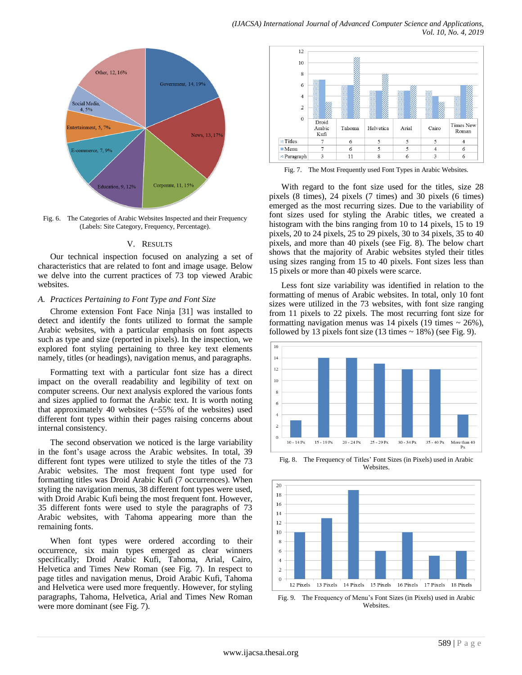

Fig. 6. The Categories of Arabic Websites Inspected and their Frequency (Labels: Site Category, Frequency, Percentage).

#### V. RESULTS

Our technical inspection focused on analyzing a set of characteristics that are related to font and image usage. Below we delve into the current practices of 73 top viewed Arabic websites.

### *A. Practices Pertaining to Font Type and Font Size*

Chrome extension Font Face Ninja [\[31\]](#page-9-18) was installed to detect and identify the fonts utilized to format the sample Arabic websites, with a particular emphasis on font aspects such as type and size (reported in pixels). In the inspection, we explored font styling pertaining to three key text elements namely, titles (or headings), navigation menus, and paragraphs.

Formatting text with a particular font size has a direct impact on the overall readability and legibility of text on computer screens. Our next analysis explored the various fonts and sizes applied to format the Arabic text. It is worth noting that approximately 40 websites (~55% of the websites) used different font types within their pages raising concerns about internal consistency.

The second observation we noticed is the large variability in the font"s usage across the Arabic websites. In total, 39 different font types were utilized to style the titles of the 73 Arabic websites. The most frequent font type used for formatting titles was Droid Arabic Kufi (7 occurrences). When styling the navigation menus, 38 different font types were used, with Droid Arabic Kufi being the most frequent font. However, 35 different fonts were used to style the paragraphs of 73 Arabic websites, with Tahoma appearing more than the remaining fonts.

When font types were ordered according to their occurrence, six main types emerged as clear winners specifically; Droid Arabic Kufi, Tahoma, Arial, Cairo, Helvetica and Times New Roman (see Fig. 7). In respect to page titles and navigation menus, Droid Arabic Kufi, Tahoma and Helvetica were used more frequently. However, for styling paragraphs, Tahoma, Helvetica, Arial and Times New Roman were more dominant (see Fig. 7).



Fig. 7. The Most Frequently used Font Types in Arabic Websites.

With regard to the font size used for the titles, size 28 pixels (8 times), 24 pixels (7 times) and 30 pixels (6 times) emerged as the most recurring sizes. Due to the variability of font sizes used for styling the Arabic titles, we created a histogram with the bins ranging from 10 to 14 pixels, 15 to 19 pixels, 20 to 24 pixels, 25 to 29 pixels, 30 to 34 pixels, 35 to 40 pixels, and more than 40 pixels (see Fig. 8). The below chart shows that the majority of Arabic websites styled their titles using sizes ranging from 15 to 40 pixels. Font sizes less than 15 pixels or more than 40 pixels were scarce.

Less font size variability was identified in relation to the formatting of menus of Arabic websites. In total, only 10 font sizes were utilized in the 73 websites, with font size ranging from 11 pixels to 22 pixels. The most recurring font size for formatting navigation menus was 14 pixels (19 times  $\sim$  26%), followed by 13 pixels font size  $(13 \text{ times} \sim 18\%)$  (see Fig. 9).



Fig. 8. The Frequency of Titles" Font Sizes (in Pixels) used in Arabic Websites.



Fig. 9. The Frequency of Menu"s Font Sizes (in Pixels) used in Arabic Websites.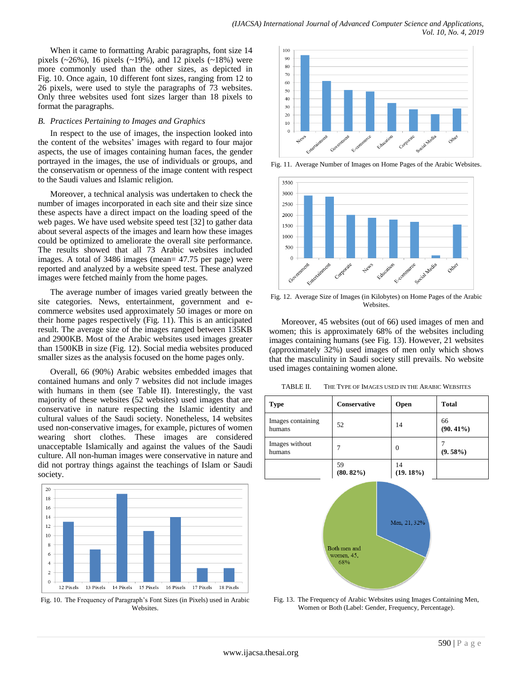When it came to formatting Arabic paragraphs, font size 14 pixels (~26%), 16 pixels (~19%), and 12 pixels (~18%) were more commonly used than the other sizes, as depicted in Fig. 10. Once again, 10 different font sizes, ranging from 12 to 26 pixels, were used to style the paragraphs of 73 websites. Only three websites used font sizes larger than 18 pixels to format the paragraphs.

#### *B. Practices Pertaining to Images and Graphics*

In respect to the use of images, the inspection looked into the content of the websites' images with regard to four major aspects, the use of images containing human faces, the gender portrayed in the images, the use of individuals or groups, and the conservatism or openness of the image content with respect to the Saudi values and Islamic religion.

Moreover, a technical analysis was undertaken to check the number of images incorporated in each site and their size since these aspects have a direct impact on the loading speed of the web pages. We have used website speed test [\[32\]](#page-9-19) to gather data about several aspects of the images and learn how these images could be optimized to ameliorate the overall site performance. The results showed that all 73 Arabic websites included images. A total of 3486 images (mean= 47.75 per page) were reported and analyzed by a website speed test. These analyzed images were fetched mainly from the home pages.

The average number of images varied greatly between the site categories. News, entertainment, government and ecommerce websites used approximately 50 images or more on their home pages respectively (Fig. 11). This is an anticipated result. The average size of the images ranged between 135KB and 2900KB. Most of the Arabic websites used images greater than 1500KB in size (Fig. 12). Social media websites produced smaller sizes as the analysis focused on the home pages only.

Overall, 66 (90%) Arabic websites embedded images that contained humans and only 7 websites did not include images with humans in them (see Table II). Interestingly, the vast majority of these websites (52 websites) used images that are conservative in nature respecting the Islamic identity and cultural values of the Saudi society. Nonetheless, 14 websites used non-conservative images, for example, pictures of women wearing short clothes. These images are considered unacceptable Islamically and against the values of the Saudi culture. All non-human images were conservative in nature and did not portray things against the teachings of Islam or Saudi society.



Fig. 10. The Frequency of Paragraph"s Font Sizes (in Pixels) used in Arabic Websites.



Fig. 11. Average Number of Images on Home Pages of the Arabic Websites.



Fig. 12. Average Size of Images (in Kilobytes) on Home Pages of the Arabic **Websites** 

Moreover, 45 websites (out of 66) used images of men and women; this is approximately 68% of the websites including images containing humans (see Fig. 13). However, 21 websites (approximately 32%) used images of men only which shows that the masculinity in Saudi society still prevails. No website used images containing women alone.

TABLE II. THE TYPE OF IMAGES USED IN THE ARABIC WEBSITES

| <b>Type</b>                 | <b>Conservative</b> | Open           | <b>Total</b>      |
|-----------------------------|---------------------|----------------|-------------------|
| Images containing<br>humans | 52                  | 14             | 66<br>$(90.41\%)$ |
| Images without<br>humans    | 7                   | $\theta$       | $(9.58\%)$        |
|                             | 59<br>$(80.82\%)$   | 14<br>(19.18%) |                   |



Fig. 13. The Frequency of Arabic Websites using Images Containing Men, Women or Both (Label: Gender, Frequency, Percentage).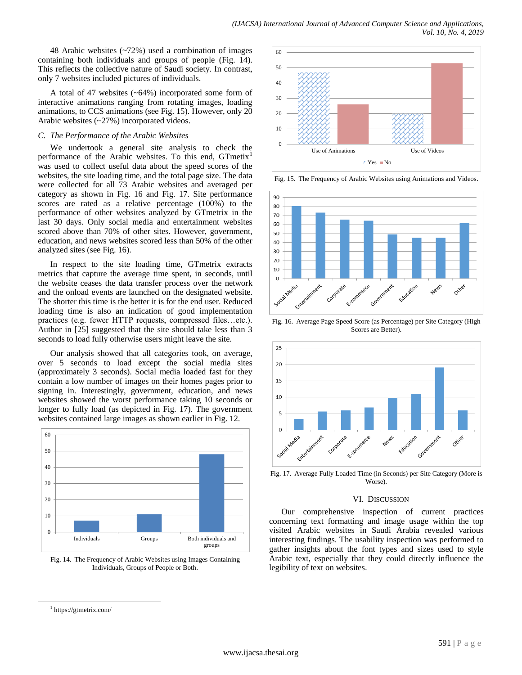48 Arabic websites (~72%) used a combination of images containing both individuals and groups of people (Fig. 14). This reflects the collective nature of Saudi society. In contrast, only 7 websites included pictures of individuals.

A total of 47 websites (~64%) incorporated some form of interactive animations ranging from rotating images, loading animations, to CCS animations (see Fig. 15). However, only 20 Arabic websites (~27%) incorporated videos.

#### *C. The Performance of the Arabic Websites*

We undertook a general site analysis to check the performance of the Arabic websites. To this end, GTmetix<sup>1</sup> was used to collect useful data about the speed scores of the websites, the site loading time, and the total page size. The data were collected for all 73 Arabic websites and averaged per category as shown in Fig. 16 and Fig. 17. Site performance scores are rated as a relative percentage (100%) to the performance of other websites analyzed by GTmetrix in the last 30 days. Only social media and entertainment websites scored above than 70% of other sites. However, government, education, and news websites scored less than 50% of the other analyzed sites (see Fig. 16).

In respect to the site loading time, GTmetrix extracts metrics that capture the average time spent, in seconds, until the website ceases the data transfer process over the network and the onload events are launched on the designated website. The shorter this time is the better it is for the end user. Reduced loading time is also an indication of good implementation practices (e.g. fewer HTTP requests, compressed files…etc.). Author in [\[25\]](#page-9-11) suggested that the site should take less than 3 seconds to load fully otherwise users might leave the site.

Our analysis showed that all categories took, on average, over 5 seconds to load except the social media sites (approximately 3 seconds). Social media loaded fast for they contain a low number of images on their homes pages prior to signing in. Interestingly, government, education, and news websites showed the worst performance taking 10 seconds or longer to fully load (as depicted in Fig. 17). The government websites contained large images as shown earlier in Fig. 12.





l



Fig. 15. The Frequency of Arabic Websites using Animations and Videos.



Fig. 16. Average Page Speed Score (as Percentage) per Site Category (High Scores are Better).



Fig. 17. Average Fully Loaded Time (in Seconds) per Site Category (More is Worse).

#### VI. DISCUSSION

Our comprehensive inspection of current practices concerning text formatting and image usage within the top visited Arabic websites in Saudi Arabia revealed various interesting findings. The usability inspection was performed to gather insights about the font types and sizes used to style Arabic text, especially that they could directly influence the legibility of text on websites.

<sup>1</sup> <https://gtmetrix.com/>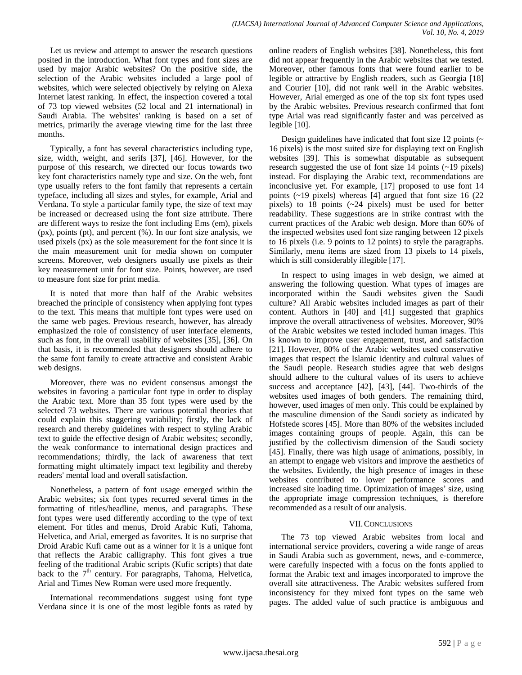Let us review and attempt to answer the research questions posited in the introduction. What font types and font sizes are used by major Arabic websites? On the positive side, the selection of the Arabic websites included a large pool of websites, which were selected objectively by relying on Alexa Internet latest ranking. In effect, the inspection covered a total of 73 top viewed websites (52 local and 21 international) in Saudi Arabia. The websites' ranking is based on a set of metrics, primarily the average viewing time for the last three months.

Typically, a font has several characteristics including type, size, width, weight, and serifs [\[37\],](#page-9-20) [\[46\].](#page-9-21) However, for the purpose of this research, we directed our focus towards two key font characteristics namely type and size. On the web, font type usually refers to the font family that represents a certain typeface, including all sizes and styles, for example, Arial and Verdana. To style a particular family type, the size of text may be increased or decreased using the font size attribute. There are different ways to resize the font including Ems (em), pixels (px), points (pt), and percent (%). In our font size analysis, we used pixels (px) as the sole measurement for the font since it is the main measurement unit for media shown on computer screens. Moreover, web designers usually use pixels as their key measurement unit for font size. Points, however, are used to measure font size for print media.

It is noted that more than half of the Arabic websites breached the principle of consistency when applying font types to the text. This means that multiple font types were used on the same web pages. Previous research, however, has already emphasized the role of consistency of user interface elements, such as font, in the overall usability of websites [\[35\],](#page-9-22) [\[36\].](#page-9-23) On that basis, it is recommended that designers should adhere to the same font family to create attractive and consistent Arabic web designs.

Moreover, there was no evident consensus amongst the websites in favoring a particular font type in order to display the Arabic text. More than 35 font types were used by the selected 73 websites. There are various potential theories that could explain this staggering variability; firstly, the lack of research and thereby guidelines with respect to styling Arabic text to guide the effective design of Arabic websites; secondly, the weak conformance to international design practices and recommendations; thirdly, the lack of awareness that text formatting might ultimately impact text legibility and thereby readers' mental load and overall satisfaction.

Nonetheless, a pattern of font usage emerged within the Arabic websites; six font types recurred several times in the formatting of titles/headline, menus, and paragraphs. These font types were used differently according to the type of text element. For titles and menus, Droid Arabic Kufi, Tahoma, Helvetica, and Arial, emerged as favorites. It is no surprise that Droid Arabic Kufi came out as a winner for it is a unique font that reflects the Arabic calligraphy. This font gives a true feeling of the traditional Arabic scripts (Kufic scripts) that date back to the  $7<sup>th</sup>$  century. For paragraphs, Tahoma, Helvetica, Arial and Times New Roman were used more frequently.

International recommendations suggest using font type Verdana since it is one of the most legible fonts as rated by online readers of English websites [\[38\].](#page-9-24) Nonetheless, this font did not appear frequently in the Arabic websites that we tested. Moreover, other famous fonts that were found earlier to be legible or attractive by English readers, such as Georgia [\[18\]](#page-8-17) and Courier [\[10\],](#page-8-9) did not rank well in the Arabic websites. However, Arial emerged as one of the top six font types used by the Arabic websites. Previous research confirmed that font type Arial was read significantly faster and was perceived as legible [\[10\].](#page-8-9)

Design guidelines have indicated that font size 12 points  $($ 16 pixels) is the most suited size for displaying text on English websites [\[39\].](#page-9-25) This is somewhat disputable as subsequent research suggested the use of font size 14 points (~19 pixels) instead. For displaying the Arabic text, recommendations are inconclusive yet. For example, [\[17\]](#page-8-16) proposed to use font 14 points (~19 pixels) whereas [\[4\]](#page-8-3) argued that font size 16 (22 pixels) to 18 points (~24 pixels) must be used for better readability. These suggestions are in strike contrast with the current practices of the Arabic web design. More than 60% of the inspected websites used font size ranging between 12 pixels to 16 pixels (i.e. 9 points to 12 points) to style the paragraphs. Similarly, menu items are sized from 13 pixels to 14 pixels, which is still considerably illegible [\[17\].](#page-8-16)

In respect to using images in web design, we aimed at answering the following question. What types of images are incorporated within the Saudi websites given the Saudi culture? All Arabic websites included images as part of their content. Authors in [\[40\]](#page-9-26) and [\[41\]](#page-9-27) suggested that graphics improve the overall attractiveness of websites. Moreover, 90% of the Arabic websites we tested included human images. This is known to improve user engagement, trust, and satisfaction [\[21\].](#page-9-6) However, 80% of the Arabic websites used conservative images that respect the Islamic identity and cultural values of the Saudi people. Research studies agree that web designs should adhere to the cultural values of its users to achieve success and acceptance [\[42\],](#page-9-28) [\[43\],](#page-9-29) [\[44\].](#page-9-30) Two-thirds of the websites used images of both genders. The remaining third, however, used images of men only. This could be explained by the masculine dimension of the Saudi society as indicated by Hofstede scores [\[45\].](#page-9-31) More than 80% of the websites included images containing groups of people. Again, this can be justified by the collectivism dimension of the Saudi society [\[45\].](#page-9-31) Finally, there was high usage of animations, possibly, in an attempt to engage web visitors and improve the aesthetics of the websites. Evidently, the high presence of images in these websites contributed to lower performance scores and increased site loading time. Optimization of images' size, using the appropriate image compression techniques, is therefore recommended as a result of our analysis.

# VII.CONCLUSIONS

The 73 top viewed Arabic websites from local and international service providers, covering a wide range of areas in Saudi Arabia such as government, news, and e-commerce, were carefully inspected with a focus on the fonts applied to format the Arabic text and images incorporated to improve the overall site attractiveness. The Arabic websites suffered from inconsistency for they mixed font types on the same web pages. The added value of such practice is ambiguous and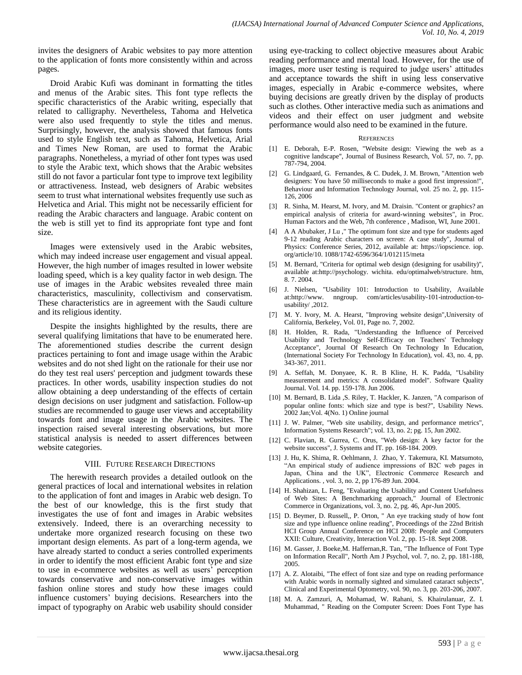invites the designers of Arabic websites to pay more attention to the application of fonts more consistently within and across pages.

Droid Arabic Kufi was dominant in formatting the titles and menus of the Arabic sites. This font type reflects the specific characteristics of the Arabic writing, especially that related to calligraphy. Nevertheless, Tahoma and Helvetica were also used frequently to style the titles and menus. Surprisingly, however, the analysis showed that famous fonts used to style English text, such as Tahoma, Helvetica, Arial and Times New Roman, are used to format the Arabic paragraphs. Nonetheless, a myriad of other font types was used to style the Arabic text, which shows that the Arabic websites still do not favor a particular font type to improve text legibility or attractiveness. Instead, web designers of Arabic websites seem to trust what international websites frequently use such as Helvetica and Arial. This might not be necessarily efficient for reading the Arabic characters and language. Arabic content on the web is still yet to find its appropriate font type and font size.

Images were extensively used in the Arabic websites, which may indeed increase user engagement and visual appeal. However, the high number of images resulted in lower website loading speed, which is a key quality factor in web design. The use of images in the Arabic websites revealed three main characteristics, masculinity, collectivism and conservatism. These characteristics are in agreement with the Saudi culture and its religious identity.

Despite the insights highlighted by the results, there are several qualifying limitations that have to be enumerated here. The aforementioned studies describe the current design practices pertaining to font and image usage within the Arabic websites and do not shed light on the rationale for their use nor do they test real users' perception and judgment towards these practices. In other words, usability inspection studies do not allow obtaining a deep understanding of the effects of certain design decisions on user judgment and satisfaction. Follow-up studies are recommended to gauge user views and acceptability towards font and image usage in the Arabic websites. The inspection raised several interesting observations, but more statistical analysis is needed to assert differences between website categories.

### VIII. FUTURE RESEARCH DIRECTIONS

The herewith research provides a detailed outlook on the general practices of local and international websites in relation to the application of font and images in Arabic web design. To the best of our knowledge, this is the first study that investigates the use of font and images in Arabic websites extensively. Indeed, there is an overarching necessity to undertake more organized research focusing on these two important design elements. As part of a long-term agenda, we have already started to conduct a series controlled experiments in order to identify the most efficient Arabic font type and size to use in e-commerce websites as well as users" perception towards conservative and non-conservative images within fashion online stores and study how these images could influence customers" buying decisions. Researchers into the impact of typography on Arabic web usability should consider using eye-tracking to collect objective measures about Arabic reading performance and mental load. However, for the use of images, more user testing is required to judge users' attitudes and acceptance towards the shift in using less conservative images, especially in Arabic e-commerce websites, where buying decisions are greatly driven by the display of products such as clothes. Other interactive media such as animations and videos and their effect on user judgment and website performance would also need to be examined in the future.

#### **REFERENCES**

- <span id="page-8-0"></span>[1] E. Deborah, E-P. Rosen, "Website design: Viewing the web as a cognitive landscape", Journal of Business Research, Vol. 57, no. 7, pp. 787-794, 2004.
- <span id="page-8-1"></span>[2] G. Lindgaard, G. Fernandes, & C. Dudek, J. M. Brown, "Attention web designers: You have 50 milliseconds to make a good first impression!", Behaviour and Information Technology Journal, vol. 25 no. 2, pp. 115- 126, 2006
- <span id="page-8-2"></span>[3] R. Sinha, M. Hearst, M. Ivory, and M. Draisin. "Content or graphics? an empirical analysis of criteria for award-winning websites", in Proc. Human Factors and the Web, 7th conference , Madison, WI, June 2001.
- <span id="page-8-3"></span>[4] A A Abubaker, J Lu ," The optimum font size and type for students aged 9-12 reading Arabic characters on screen: A case study", Journal of Physics: Conference Series, 2012, available at: https://iopscience. iop. org/article/10. 1088/1742-6596/364/1/012115/meta
- <span id="page-8-4"></span>[5] M. Bernard, "Criteria for optimal web design (designing for usability)", available at:http://psychology. wichita. edu/optimalweb/structure. htm, 8. 7. 2004.
- <span id="page-8-5"></span>[6] [J. Nielsen,](https://www.nngroup.com/articles/author/jakob-nielsen/) "Usability 101: Introduction to Usability, Available a[t:http://www. nngroup. com/articles/usability-101-introduction-to](http://www.nngroup.com/articles/usability-101-introduction-to-usability/)[usability/](http://www.nngroup.com/articles/usability-101-introduction-to-usability/) ,2012.
- <span id="page-8-6"></span>[7] M. Y. Ivory, M. A. Hearst, "Improving website design",University of California, Berkeley, Vol. 01, Page no. 7, 2002.
- <span id="page-8-7"></span>[8] H. Holden, R. Rada, "Understanding the Influence of Perceived Usability and Technology Self-Efficacy on Teachers' Technology Acceptance", Journal Of Research On Technology In Education, (International Society For Technology In Education), vol. 43, no. 4, pp. 343-367, 2011.
- <span id="page-8-8"></span>[9] A. Seffah, M. Donyaee, K. R. B Kline, H. K. Padda, "Usability measurement and metrics: A consolidated model". Software Quality Journal. Vol. 14. pp. 159-178. Jun 2006.
- <span id="page-8-9"></span>[10] M. Bernard, B. Lida , S. Riley, T. Hackler, K. Janzen, "A comparison of popular online fonts: which size and type is best?", Usability News. 2002 Jan;Vol. 4(No. 1) Online journal
- <span id="page-8-10"></span>[11] J. W. Palmer, "Web site usability, design, and performance metrics", Information Systems Research"; vol. 13, no. 2; pg. 15, Jun 2002.
- <span id="page-8-11"></span>[12] C. Flavian, R. Gurrea, C. Orus, "Web design: A key factor for the website success", J. Systems and IT. pp. 168-184. 2009.
- <span id="page-8-12"></span>[13] J. Hu, K. Shima, R. Oehlmann, J. Zhao, Y. Takemura, KI. Matsumoto, "An empirical study of audience impressions of B2C web pages in Japan, China and the UK", Electronic Commerce Research and Applications. , vol. 3, no. 2, pp 176-89 Jun. 2004.
- <span id="page-8-13"></span>[14] H. Shahizan, L. Feng, "Evaluating the Usability and Content Usefulness of Web Sites: A Benchmarking approach," Journal of Electronic Commerce in Organizations, vol. 3, no. 2, pg. 46, Apr-Jun 2005.
- <span id="page-8-14"></span>[15] D. Beymer, D. Russell,, P. Orton, " An eye tracking study of how font size and type influence online reading", Proceedings of the 22nd British HCI Group Annual Conference on HCI 2008: People and Computers XXII: Culture, Creativity, Interaction Vol. 2, pp. 15-18. Sept 2008.
- <span id="page-8-15"></span>[16] M. Gasser, J. Boeke, M. Haffernan, R. Tan, "The Influence of Font Type on Information Recall", North Am J Psychol, vol. 7, no. 2, pp. 181-188, 2005.
- <span id="page-8-16"></span>[17] A. Z. Alotaibi, "The effect of font size and type on reading performance with Arabic words in normally sighted and simulated cataract subjects", Clinical and Experimental Optometry, vol. 90, no. 3, pp. 203-206, 2007.
- <span id="page-8-17"></span>[18] M. A. Zamzuri, A, Mohamad, W. Rahani, S. Khairulanuar, Z. I. Muhammad, " Reading on the Computer Screen: Does Font Type has